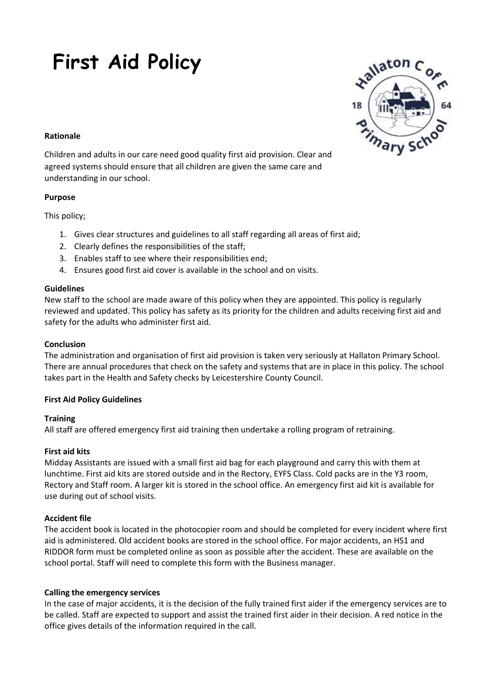# **First Aid Policy**



#### **Rationale**

Children and adults in our care need good quality first aid provision. Clear and agreed systems should ensure that all children are given the same care and understanding in our school.

## **Purpose**

This policy;

- 1. Gives clear structures and guidelines to all staff regarding all areas of first aid;
- 2. Clearly defines the responsibilities of the staff;
- 3. Enables staff to see where their responsibilities end;
- 4. Ensures good first aid cover is available in the school and on visits.

## **Guidelines**

New staff to the school are made aware of this policy when they are appointed. This policy is regularly reviewed and updated. This policy has safety as its priority for the children and adults receiving first aid and safety for the adults who administer first aid.

## **Conclusion**

The administration and organisation of first aid provision is taken very seriously at Hallaton Primary School. There are annual procedures that check on the safety and systems that are in place in this policy. The school takes part in the Health and Safety checks by Leicestershire County Council.

# **First Aid Policy Guidelines**

# **Training**

All staff are offered emergency first aid training then undertake a rolling program of retraining.

#### **First aid kits**

Midday Assistants are issued with a small first aid bag for each playground and carry this with them at lunchtime. First aid kits are stored outside and in the Rectory, EYFS Class. Cold packs are in the Y3 room, Rectory and Staff room. A larger kit is stored in the school office. An emergency first aid kit is available for use during out of school visits.

# **Accident file**

The accident book is located in the photocopier room and should be completed for every incident where first aid is administered. Old accident books are stored in the school office. For major accidents, an HS1 and RIDDOR form must be completed online as soon as possible after the accident. These are available on the school portal. Staff will need to complete this form with the Business manager.

#### **Calling the emergency services**

In the case of major accidents, it is the decision of the fully trained first aider if the emergency services are to be called. Staff are expected to support and assist the trained first aider in their decision. A red notice in the office gives details of the information required in the call.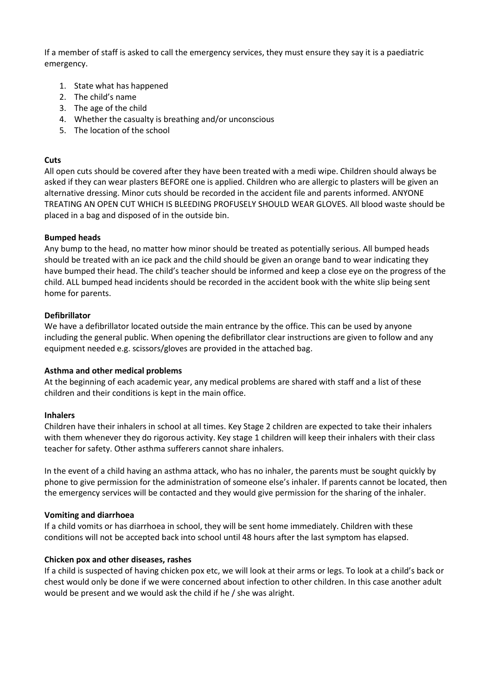If a member of staff is asked to call the emergency services, they must ensure they say it is a paediatric emergency.

- 1. State what has happened
- 2. The child's name
- 3. The age of the child
- 4. Whether the casualty is breathing and/or unconscious
- 5. The location of the school

#### **Cuts**

All open cuts should be covered after they have been treated with a medi wipe. Children should always be asked if they can wear plasters BEFORE one is applied. Children who are allergic to plasters will be given an alternative dressing. Minor cuts should be recorded in the accident file and parents informed. ANYONE TREATING AN OPEN CUT WHICH IS BLEEDING PROFUSELY SHOULD WEAR GLOVES. All blood waste should be placed in a bag and disposed of in the outside bin.

#### **Bumped heads**

Any bump to the head, no matter how minor should be treated as potentially serious. All bumped heads should be treated with an ice pack and the child should be given an orange band to wear indicating they have bumped their head. The child's teacher should be informed and keep a close eye on the progress of the child. ALL bumped head incidents should be recorded in the accident book with the white slip being sent home for parents.

#### **Defibrillator**

We have a defibrillator located outside the main entrance by the office. This can be used by anyone including the general public. When opening the defibrillator clear instructions are given to follow and any equipment needed e.g. scissors/gloves are provided in the attached bag.

#### **Asthma and other medical problems**

At the beginning of each academic year, any medical problems are shared with staff and a list of these children and their conditions is kept in the main office.

#### **Inhalers**

Children have their inhalers in school at all times. Key Stage 2 children are expected to take their inhalers with them whenever they do rigorous activity. Key stage 1 children will keep their inhalers with their class teacher for safety. Other asthma sufferers cannot share inhalers.

In the event of a child having an asthma attack, who has no inhaler, the parents must be sought quickly by phone to give permission for the administration of someone else's inhaler. If parents cannot be located, then the emergency services will be contacted and they would give permission for the sharing of the inhaler.

#### **Vomiting and diarrhoea**

If a child vomits or has diarrhoea in school, they will be sent home immediately. Children with these conditions will not be accepted back into school until 48 hours after the last symptom has elapsed.

#### **Chicken pox and other diseases, rashes**

If a child is suspected of having chicken pox etc, we will look at their arms or legs. To look at a child's back or chest would only be done if we were concerned about infection to other children. In this case another adult would be present and we would ask the child if he / she was alright.